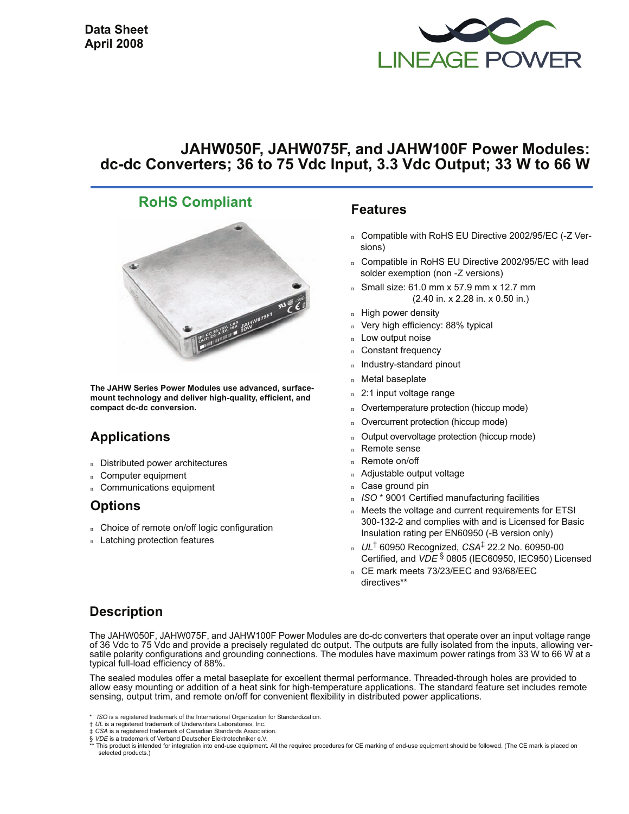

# **JAHW050F, JAHW075F, and JAHW100F Power Modules: dc-dc Converters; 36 to 75 Vdc Input, 3.3 Vdc Output; 33 W to 66 W**

# **RoHS Compliant**



**The JAHW Series Power Modules use advanced, surfacemount technology and deliver high-quality, efficient, and compact dc-dc conversion.**

# **Applications**

- <sup>n</sup> Distributed power architectures
- <sup>n</sup> Computer equipment
- <sup>n</sup> Communications equipment

# **Options**

- n Choice of remote on/off logic configuration
- n Latching protection features

#### **Features**

- n Compatible with RoHS EU Directive 2002/95/EC (-Z Versions)
- Compatible in RoHS EU Directive 2002/95/EC with lead solder exemption (non -Z versions)
- $n$  Small size: 61.0 mm x 57.9 mm x 12.7 mm (2.40 in. x 2.28 in. x 0.50 in.)
- n High power density
- n Very high efficiency: 88% typical
- Low output noise
- n Constant frequency
- <sup>n</sup> Industry-standard pinout
- Metal baseplate
- n 2:1 input voltage range
- n Overtemperature protection (hiccup mode)
- Overcurrent protection (hiccup mode)
- Output overvoltage protection (hiccup mode)
- <sup>n</sup> Remote sense
- <sup>n</sup> Remote on/off
- <sup>n</sup> Adjustable output voltage
- n Case ground pin
- <sup>n</sup> *ISO* \* 9001 Certified manufacturing facilities
- n Meets the voltage and current requirements for ETSI 300-132-2 and complies with and is Licensed for Basic Insulation rating per EN60950 (-B version only)
- <sup>n</sup> *UL*† 60950 Recognized, *CSA*‡ 22.2 No. 60950-00 Certified, and *VDE* § 0805 (IEC60950, IEC950) Licensed
- n CE mark meets 73/23/EEC and 93/68/EEC directives\*\*

# **Description**

The JAHW050F, JAHW075F, and JAHW100F Power Modules are dc-dc converters that operate over an input voltage range of 36 Vdc to 75 Vdc and provide a precisely regulated dc output. The outputs are fully isolated from the inputs, allowing versatile polarity configurations and grounding connections. The modules have maximum power ratings from 33 W to 66 W at a typical full-load efficiency of 88%.

The sealed modules offer a metal baseplate for excellent thermal performance. Threaded-through holes are provided to allow easy mounting or addition of a heat sink for high-temperature applications. The standard feature set includes remote sensing, output trim, and remote on/off for convenient flexibility in distributed power applications.

- *ISO* is a registered trademark of the International Organization for Standardization.
- † *UL* is a registered trademark of Underwriters Laboratories, Inc.

<sup>‡</sup> *CSA* is a registered trademark of Canadian Standards Association. § *VDE* is a trademark of Verband Deutscher Elektrotechniker e.V.

This product is intended for integration into end-use equipment. All the required procedures for CE marking of end-use equipment should be followed. (The CE mark is placed on selected products.)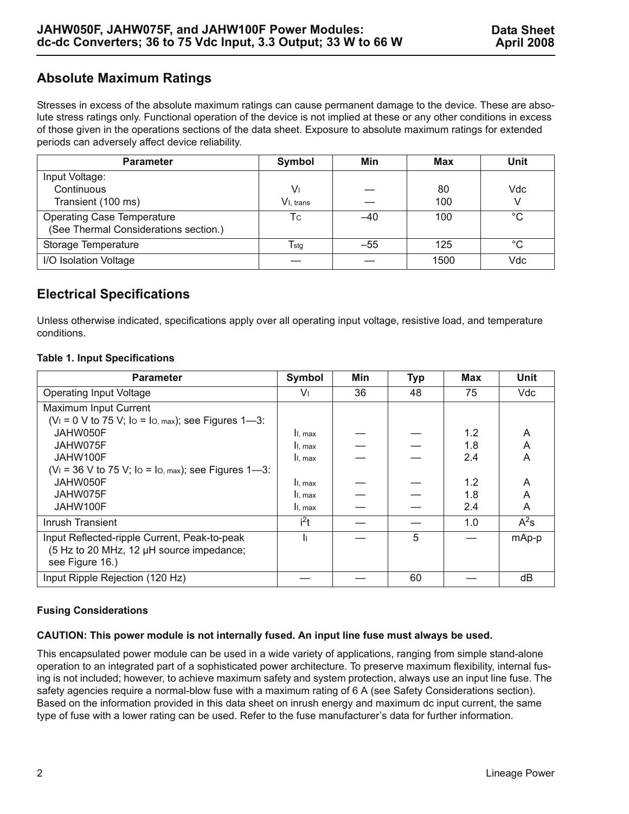# **Absolute Maximum Ratings**

Stresses in excess of the absolute maximum ratings can cause permanent damage to the device. These are absolute stress ratings only. Functional operation of the device is not implied at these or any other conditions in excess of those given in the operations sections of the data sheet. Exposure to absolute maximum ratings for extended periods can adversely affect device reliability.

| <b>Parameter</b>                      | Symbol           | Min   | Max  | Unit        |
|---------------------------------------|------------------|-------|------|-------------|
| Input Voltage:                        |                  |       |      |             |
| Continuous                            | V١               |       | 80   | Vdc         |
| Transient (100 ms)                    | $V1.$ trans      |       | 100  |             |
| <b>Operating Case Temperature</b>     | Тc               | $-40$ | 100  | $^{\circ}C$ |
| (See Thermal Considerations section.) |                  |       |      |             |
| Storage Temperature                   | $T_{\text{stg}}$ | $-55$ | 125  | $^{\circ}C$ |
| I/O Isolation Voltage                 |                  |       | 1500 | Vdc         |

# **Electrical Specifications**

Unless otherwise indicated, specifications apply over all operating input voltage, resistive load, and temperature conditions.

#### **Table 1. Input Specifications**

| <b>Parameter</b>                                       | Symbol           | Min | <b>Typ</b> | Max | <b>Unit</b> |
|--------------------------------------------------------|------------------|-----|------------|-----|-------------|
| <b>Operating Input Voltage</b>                         | Vı               | 36  | 48         | 75  | Vdc         |
| Maximum Input Current                                  |                  |     |            |     |             |
| $(V_1 = 0 V$ to 75 V; Io = Io, max); see Figures 1-3:  |                  |     |            |     |             |
| JAHW050F                                               | II, max          |     |            | 1.2 | A           |
| JAHW075F                                               | II. max          |     |            | 1.8 | A           |
| JAHW100F                                               | II, max          |     |            | 2.4 | A           |
| $(V_1 = 36 V$ to 75 V; lo = lo, max); see Figures 1-3: |                  |     |            |     |             |
| JAHW050F                                               | II, max          |     |            | 1.2 | A           |
| JAHW075F                                               | II. max          |     |            | 1.8 | A           |
| JAHW100F                                               | II, max          |     |            | 2.4 | A           |
| Inrush Transient                                       | i <sup>2</sup> t |     |            | 1.0 | $A^2s$      |
| Input Reflected-ripple Current, Peak-to-peak           | h                |     | 5          |     | mAp-p       |
| (5 Hz to 20 MHz, 12 µH source impedance;               |                  |     |            |     |             |
| see Figure 16.)                                        |                  |     |            |     |             |
| Input Ripple Rejection (120 Hz)                        |                  |     | 60         |     | dB          |

#### **Fusing Considerations**

#### **CAUTION: This power module is not internally fused. An input line fuse must always be used.**

This encapsulated power module can be used in a wide variety of applications, ranging from simple stand-alone operation to an integrated part of a sophisticated power architecture. To preserve maximum flexibility, internal fusing is not included; however, to achieve maximum safety and system protection, always use an input line fuse. The safety agencies require a normal-blow fuse with a maximum rating of 6 A (see Safety Considerations section). Based on the information provided in this data sheet on inrush energy and maximum dc input current, the same type of fuse with a lower rating can be used. Refer to the fuse manufacturer's data for further information.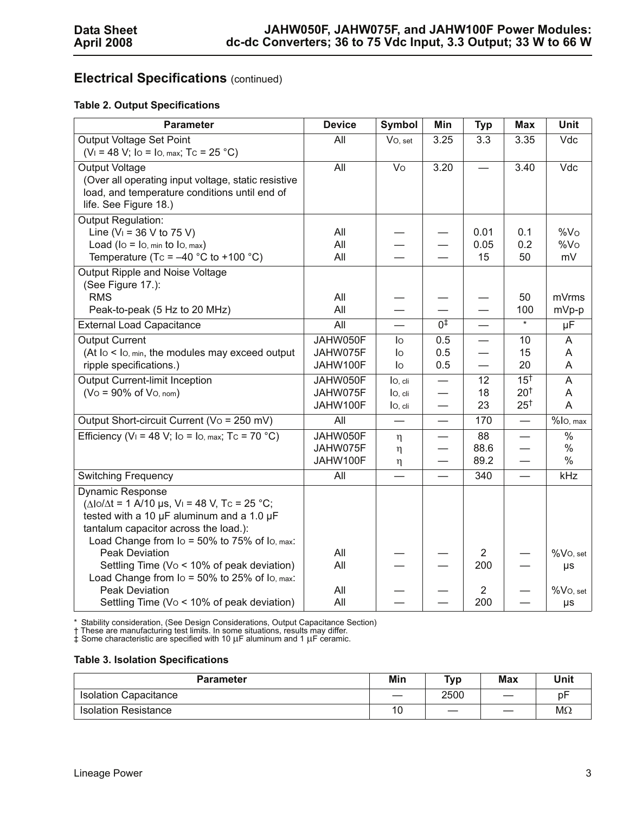# **Electrical Specifications** (continued)

#### **Table 2. Output Specifications**

| <b>Parameter</b>                                                                                                                                                                                                                                                                                    | <b>Device</b>                    | <b>Symbol</b>                 | Min                      | <b>Typ</b>               | <b>Max</b>                                           | Unit                                     |
|-----------------------------------------------------------------------------------------------------------------------------------------------------------------------------------------------------------------------------------------------------------------------------------------------------|----------------------------------|-------------------------------|--------------------------|--------------------------|------------------------------------------------------|------------------------------------------|
| Output Voltage Set Point<br>$(V_1 = 48 V;$ Io = Io, max; Tc = 25 °C)                                                                                                                                                                                                                                | All                              | Vo, set                       | 3.25                     | $\overline{3.3}$         | 3.35                                                 | Vdc                                      |
| <b>Output Voltage</b><br>(Over all operating input voltage, static resistive<br>load, and temperature conditions until end of<br>life. See Figure 18.)                                                                                                                                              | $\overline{All}$                 | $\overline{V}$                | 3.20                     |                          | 3.40                                                 | Vdc                                      |
| <b>Output Regulation:</b><br>Line ( $V_1$ = 36 V to 75 V)<br>Load ( $\log$ = $\log$ , min to $\log$ , max)<br>Temperature (Tc = $-40$ °C to +100 °C)                                                                                                                                                | All<br>All<br>All                |                               |                          | 0.01<br>0.05<br>15       | 0.1<br>0.2<br>50                                     | %V <sub>O</sub><br>%V <sub>O</sub><br>mV |
| Output Ripple and Noise Voltage<br>(See Figure 17.):<br><b>RMS</b><br>Peak-to-peak (5 Hz to 20 MHz)                                                                                                                                                                                                 | All<br>All                       |                               |                          |                          | 50<br>100                                            | mVrms<br>mVp-p                           |
| <b>External Load Capacitance</b>                                                                                                                                                                                                                                                                    | $\overline{All}$                 |                               | 0 <sup>†</sup>           |                          | $\star$                                              | $\overline{\mu}$ F                       |
| <b>Output Current</b><br>(At lo < lo, min, the modules may exceed output<br>ripple specifications.)                                                                                                                                                                                                 | JAHW050F<br>JAHW075F<br>JAHW100F | lo<br>lo<br>lo                | 0.5<br>0.5<br>0.5        | $\overline{\phantom{0}}$ | 10<br>15<br>20                                       | A<br>A<br>A                              |
| <b>Output Current-limit Inception</b><br>$(Vo = 90\% \text{ of } Vo, \text{nom})$                                                                                                                                                                                                                   | JAHW050F<br>JAHW075F<br>JAHW100F | lo, cli<br>lo, cli<br>lo, cli | $\overline{\phantom{0}}$ | 12<br>18<br>23           | 15 <sup>†</sup><br>20 <sup>†</sup><br>$25^{\dagger}$ | A<br>A<br>$\overline{A}$                 |
| Output Short-circuit Current (Vo = 250 mV)                                                                                                                                                                                                                                                          | All                              |                               |                          | 170                      | $\overline{\phantom{0}}$                             | %lo, max                                 |
| Efficiency (V <sub>1</sub> = 48 V; Io = Io, max; Tc = 70 °C)                                                                                                                                                                                                                                        | JAHW050F<br>JAHW075F<br>JAHW100F | η<br>η<br>η                   | —<br>—                   | 88<br>88.6<br>89.2       | $\overline{\phantom{0}}$                             | $\frac{0}{6}$<br>$\%$<br>$\%$            |
| <b>Switching Frequency</b>                                                                                                                                                                                                                                                                          | All                              |                               |                          | 340                      | $\overline{\phantom{0}}$                             | kHz                                      |
| <b>Dynamic Response</b><br>$(\Delta I_0/\Delta t = 1 \text{ A}/10 \text{ }\mu\text{s}, V_1 = 48 \text{ V}, T_0 = 25 \text{ }^{\circ}\text{C};$<br>tested with a 10 $\mu$ F aluminum and a 1.0 $\mu$ F<br>tantalum capacitor across the load.):<br>Load Change from $IO = 50%$ to 75% of $IO$ , max: |                                  |                               |                          |                          |                                                      |                                          |
| <b>Peak Deviation</b><br>Settling Time (Vo < 10% of peak deviation)<br>Load Change from $IO = 50%$ to 25% of $IO$ , max:                                                                                                                                                                            | All<br>All                       |                               |                          | $\overline{2}$<br>200    |                                                      | $%Vo$ , set<br>μs                        |
| Peak Deviation<br>Settling Time (Vo < 10% of peak deviation)                                                                                                                                                                                                                                        | All<br>All                       |                               |                          | $\overline{2}$<br>200    |                                                      | $%Vo$ , set<br>$\mu s$                   |

\* Stability consideration, (See Design Considerations, Output Capacitance Section)<br>† These are manufacturing test limits. In some situations, results may differ.<br>‡ Some characteristic are specified with 10 μF aluminum and

#### **Table 3. Isolation Specifications**

| <b>Parameter</b>             | Min               | <b>Typ</b> | <b>Max</b>               | Unit      |
|------------------------------|-------------------|------------|--------------------------|-----------|
| <b>Isolation Capacitance</b> | $\hspace{0.05cm}$ | 2500       |                          | рF        |
| <b>Isolation Resistance</b>  | 10                | سند        | $\overline{\phantom{a}}$ | $M\Omega$ |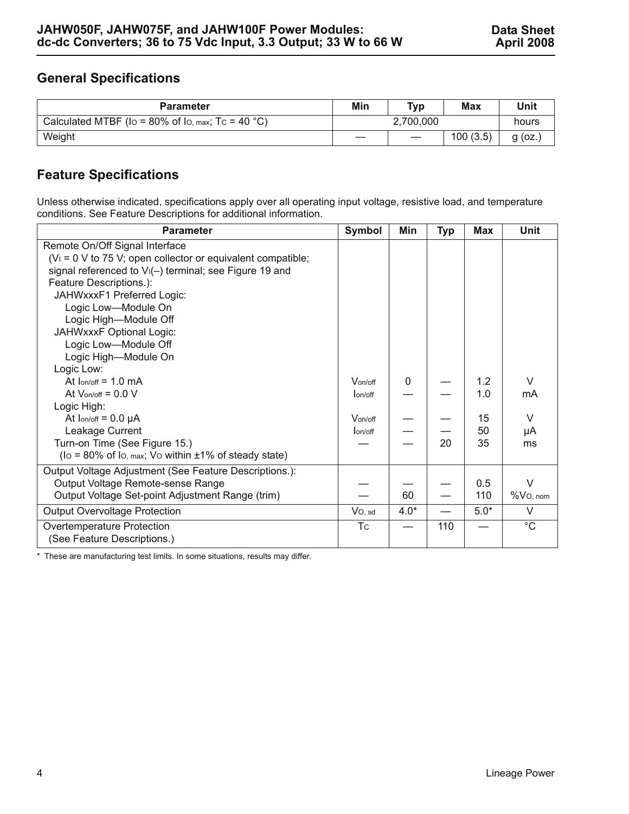## **General Specifications**

| <b>Parameter</b>                                  | Min | Typ                           | Max      | Unit      |
|---------------------------------------------------|-----|-------------------------------|----------|-----------|
| Calculated MTBF (Io = 80% of Io, max; Tc = 40 °C) |     | 2,700,000                     |          | hours     |
| Weight                                            |     | $\overbrace{\phantom{aaaaa}}$ | 100(3.5) | $g$ (oz.) |

# **Feature Specifications**

Unless otherwise indicated, specifications apply over all operating input voltage, resistive load, and temperature conditions. See Feature Descriptions for additional information.

| <b>Parameter</b>                                                    | Symbol    | Min    | <b>Typ</b> | <b>Max</b> | <b>Unit</b> |
|---------------------------------------------------------------------|-----------|--------|------------|------------|-------------|
| Remote On/Off Signal Interface                                      |           |        |            |            |             |
| $(V_1 = 0 V$ to 75 V; open collector or equivalent compatible;      |           |        |            |            |             |
| signal referenced to V <sub>I</sub> (-) terminal; see Figure 19 and |           |        |            |            |             |
| Feature Descriptions.):                                             |           |        |            |            |             |
| JAHWxxxF1 Preferred Logic:                                          |           |        |            |            |             |
| Logic Low-Module On                                                 |           |        |            |            |             |
| Logic High-Module Off                                               |           |        |            |            |             |
| JAHWxxxF Optional Logic:                                            |           |        |            |            |             |
| Logic Low-Module Off                                                |           |        |            |            |             |
| Logic High-Module On                                                |           |        |            |            |             |
| Logic Low:                                                          |           |        |            |            |             |
| At $lon/off = 1.0$ mA                                               | Von/off   | 0      |            | 1.2        | V           |
| At $V_{on/off} = 0.0 V$                                             | lon/off   |        |            | 1.0        | mA          |
| Logic High:                                                         |           |        |            |            |             |
| At $lon/off = 0.0 \mu A$                                            | Von/off   |        |            | 15         | V           |
| Leakage Current                                                     | lon/off   |        |            | 50         | μA          |
| Turn-on Time (See Figure 15.)                                       |           |        | 20         | 35         | ms          |
| ( $\log$ = 80% of $\log$ max; Vo within $\pm$ 1% of steady state)   |           |        |            |            |             |
| Output Voltage Adjustment (See Feature Descriptions.):              |           |        |            |            |             |
| Output Voltage Remote-sense Range                                   |           |        |            | 0.5        | $\vee$      |
| Output Voltage Set-point Adjustment Range (trim)                    |           | 60     |            | 110        | $%Vo$ , nom |
| <b>Output Overvoltage Protection</b>                                | $Vo$ , sd | $4.0*$ |            | $5.0*$     | $\vee$      |
| Overtemperature Protection                                          | <b>Tc</b> |        | 110        |            | $^{\circ}C$ |
| (See Feature Descriptions.)                                         |           |        |            |            |             |

\* These are manufacturing test limits. In some situations, results may differ.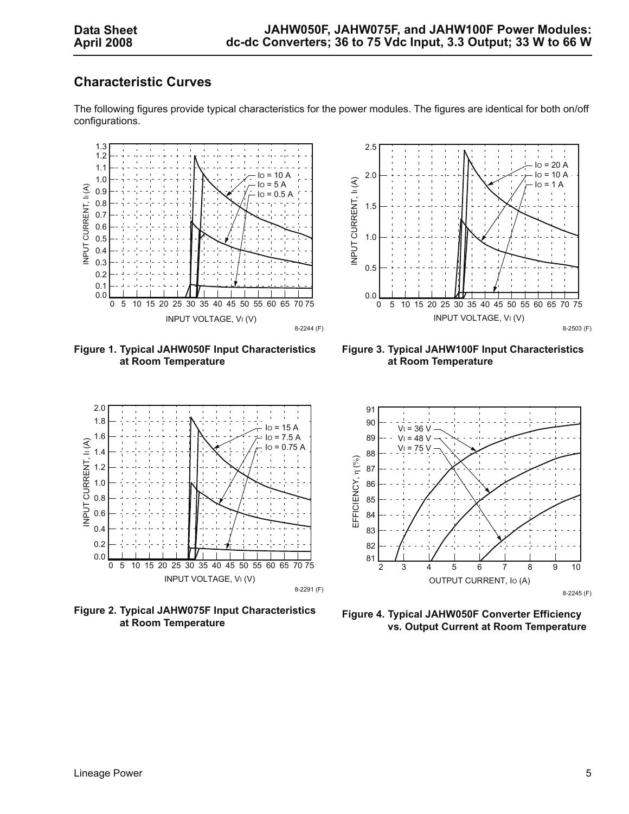## **Characteristic Curves**







<span id="page-4-0"></span>**Figure 1. Typical JAHW050F Input Characteristics at Room Temperature**

<span id="page-4-1"></span>**Figure 3. Typical JAHW100F Input Characteristics at Room Temperature**



**Figure 2. Typical JAHW075F Input Characteristics at Room Temperature**



**Figure 4. Typical JAHW050F Converter Efficiency vs. Output Current at Room Temperature**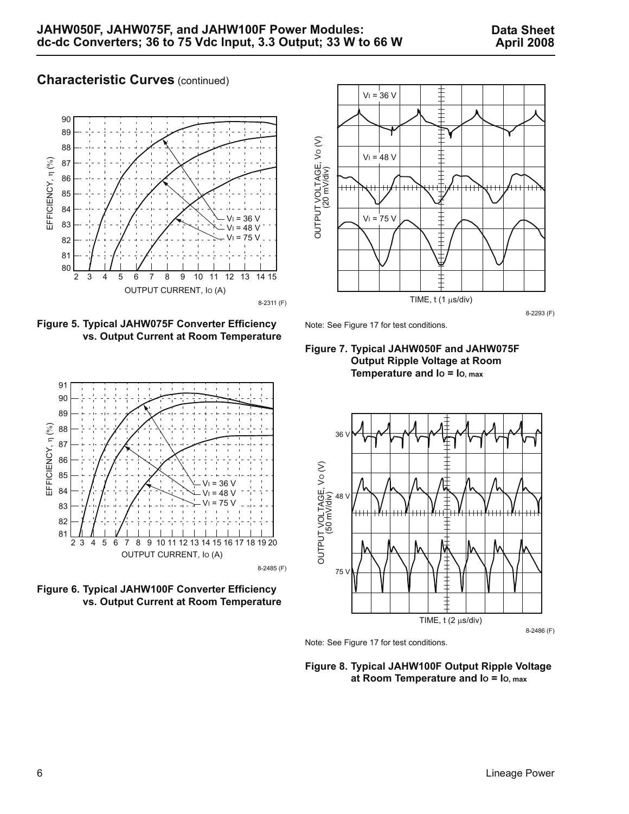### **Characteristic Curves (continued)**



**Figure 5. Typical JAHW075F Converter Efficiency vs. Output Current at Room Temperature**



Note: See Figure [17](#page-8-2) for test conditions.





**Figure 6. Typical JAHW100F Converter Efficiency vs. Output Current at Room Temperature**





**Figure 8. Typical JAHW100F Output Ripple Voltage at Room Temperature and IO = IO, max**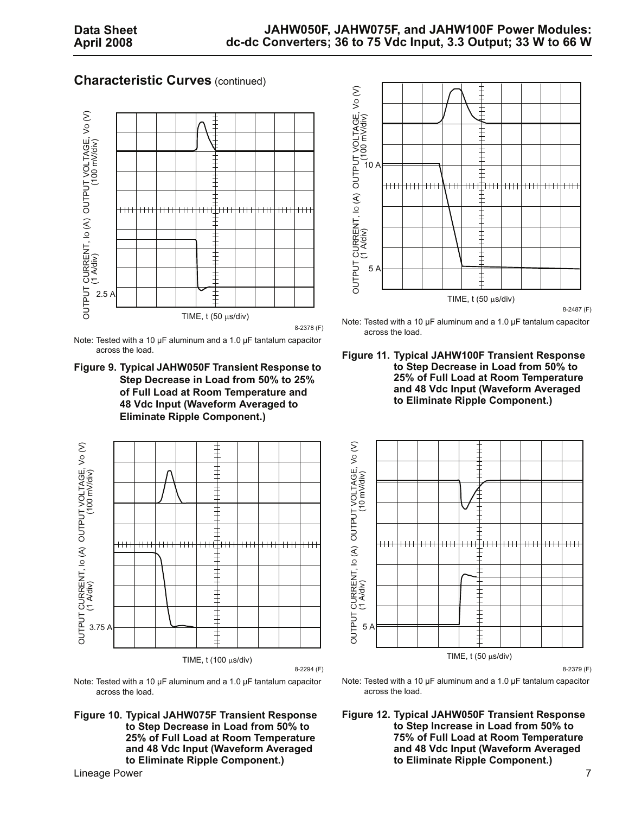#### **Characteristic Curves** (continued)



Note: Tested with a 10 µF aluminum and a 1.0 µF tantalum capacitor across the load.

**Figure 9. Typical JAHW050F Transient Response to Step Decrease in Load from 50% to 25% of Full Load at Room Temperature and 48 Vdc Input (Waveform Averaged to Eliminate Ripple Component.)** 



Note: Tested with a 10 µF aluminum and a 1.0 µF tantalum capacitor across the load.

**Figure 10. Typical JAHW075F Transient Response to Step Decrease in Load from 50% to 25% of Full Load at Room Temperature and 48 Vdc Input (Waveform Averaged to Eliminate Ripple Component.)** 



8-2487 (F)

Note: Tested with a 10 µF aluminum and a 1.0 µF tantalum capacitor across the load.

**Figure 11. Typical JAHW100F Transient Response to Step Decrease in Load from 50% to 25% of Full Load at Room Temperature and 48 Vdc Input (Waveform Averaged to Eliminate Ripple Component.)** 



8-2379 (F)

Note: Tested with a 10 µF aluminum and a 1.0 µF tantalum capacitor across the load.

**Figure 12. Typical JAHW050F Transient Response to Step Increase in Load from 50% to 75% of Full Load at Room Temperature and 48 Vdc Input (Waveform Averaged to Eliminate Ripple Component.)**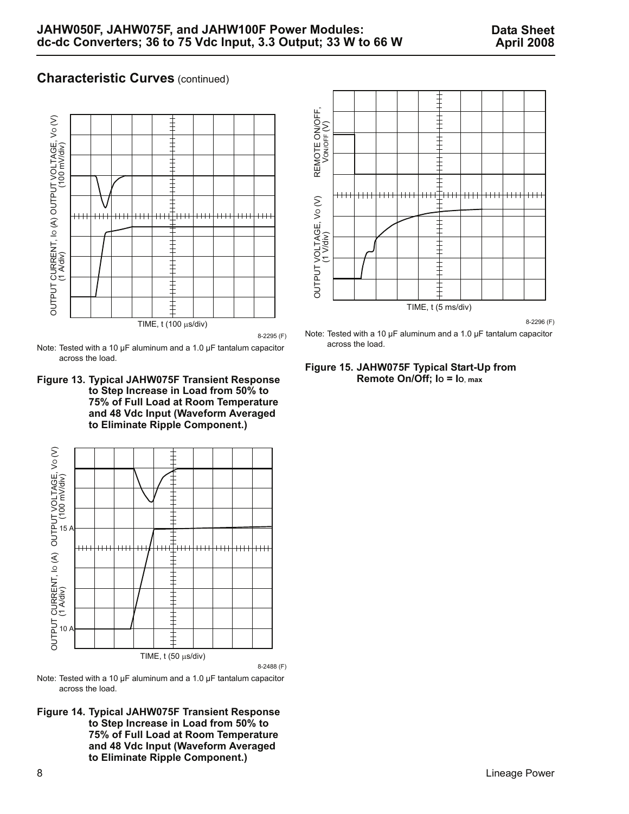### **Characteristic Curves** (continued)



8-2295 (F)

Note: Tested with a 10 µF aluminum and a 1.0 µF tantalum capacitor across the load.

**Figure 13. Typical JAHW075F Transient Response to Step Increase in Load from 50% to 75% of Full Load at Room Temperature and 48 Vdc Input (Waveform Averaged to Eliminate Ripple Component.)** 



Note: Tested with a 10 µF aluminum and a 1.0 µF tantalum capacitor across the load.

**Figure 14. Typical JAHW075F Transient Response to Step Increase in Load from 50% to 75% of Full Load at Room Temperature and 48 Vdc Input (Waveform Averaged to Eliminate Ripple Component.)** 



8-2296 (F)



#### <span id="page-7-0"></span>**Figure 15. JAHW075F Typical Start-Up from Remote On/Off; IO = IO**, **max**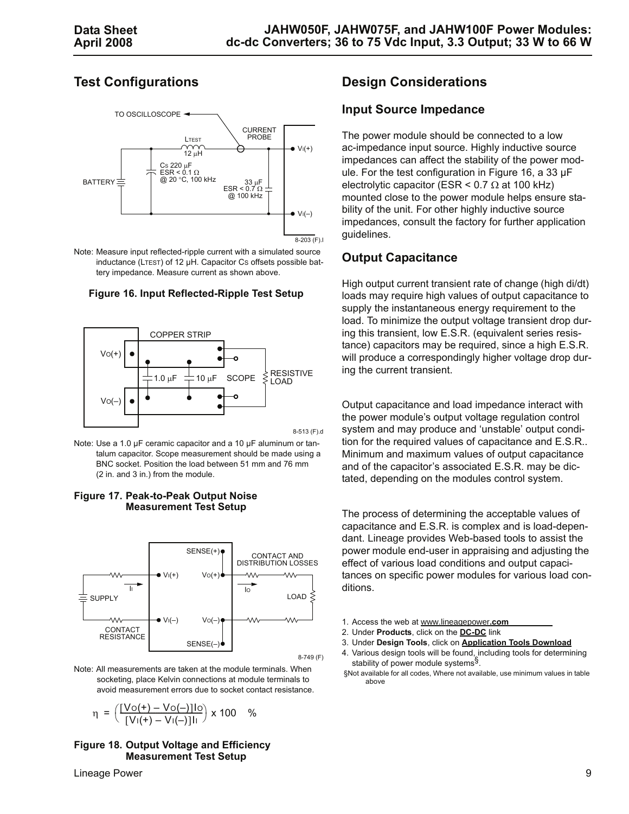# **Test Configurations**



Note: Measure input reflected-ripple current with a simulated source inductance (LTEST) of 12 µH. Capacitor CS offsets possible battery impedance. Measure current as shown above.

#### <span id="page-8-0"></span>**Figure 16. Input Reflected-Ripple Test Setup**



8-513 (F).d

Note: Use a 1.0 µF ceramic capacitor and a 10 µF aluminum or tantalum capacitor. Scope measurement should be made using a BNC socket. Position the load between 51 mm and 76 mm (2 in. and 3 in.) from the module.

#### <span id="page-8-2"></span>**Figure 17. Peak-to-Peak Output Noise Measurement Test Setup**



8-749 (F)

Note: All measurements are taken at the module terminals. When socketing, place Kelvin connections at module terminals to avoid measurement errors due to socket contact resistance.

$$
\eta = \left(\frac{[V_0(+) - V_0(-)]1_0}{[V_1(+) - V_1(-)]1_1}\right) \times 100 \quad \%
$$

#### <span id="page-8-1"></span>**Figure 18. Output Voltage and Efficiency Measurement Test Setup**

#### Lineage Power 9

## **Design Considerations**

#### **Input Source Impedance**

The power module should be connected to a low ac-impedance input source. Highly inductive source impedances can affect the stability of the power module. For the test configuration in Figure [16](#page-8-0), a 33 µF electrolytic capacitor (ESR  $\leq$  0.7  $\Omega$  at 100 kHz) mounted close to the power module helps ensure stability of the unit. For other highly inductive source impedances, consult the factory for further application guidelines.

#### **Output Capacitance**

High output current transient rate of change (high di/dt) loads may require high values of output capacitance to supply the instantaneous energy requirement to the load. To minimize the output voltage transient drop during this transient, low E.S.R. (equivalent series resistance) capacitors may be required, since a high E.S.R. will produce a correspondingly higher voltage drop during the current transient.

Output capacitance and load impedance interact with the power module's output voltage regulation control system and may produce and 'unstable' output condition for the required values of capacitance and E.S.R.. Minimum and maximum values of output capacitance and of the capacitor's associated E.S.R. may be dictated, depending on the modules control system.

The process of determining the acceptable values of capacitance and E.S.R. is complex and is load-dependant. Lineage provides Web-based tools to assist the power module end-user in appraising and adjusting the effect of various load conditions and output capacitances on specific power modules for various load conditions.

- 1. Access the web at www.lineagepower**.com**
- 2. Under **Products**, click on the **DC-DC** link
- 3. Under **Design Tools**, click on **Application Tools Download**
- 4. Various design tools will be found, including tools for determining stability of power module systems<sup>§</sup>.
- §Not available for all codes, Where not available, use minimum values in table above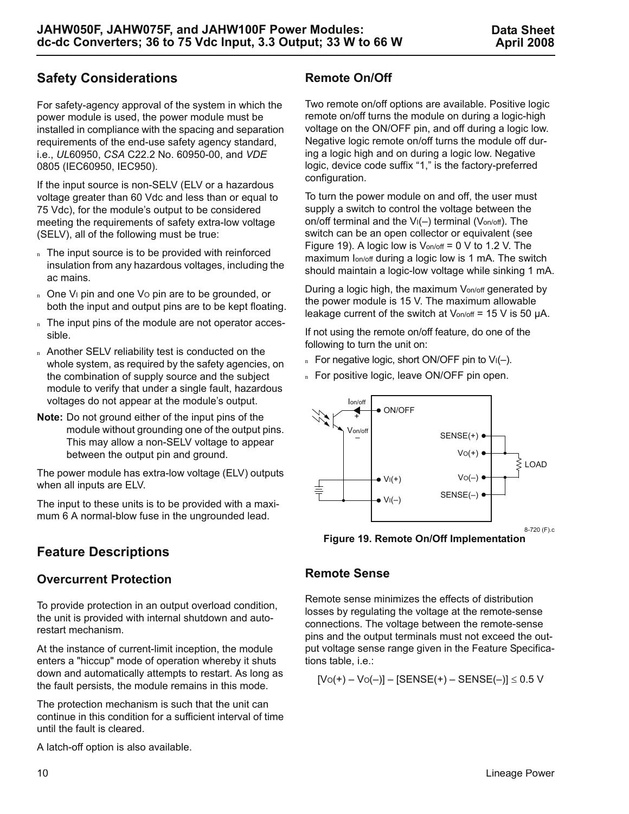# **Safety Considerations**

For safety-agency approval of the system in which the power module is used, the power module must be installed in compliance with the spacing and separation requirements of the end-use safety agency standard, i.e., *UL*60950, *CSA* C22.2 No. 60950-00, and *VDE* 0805 (IEC60950, IEC950).

If the input source is non-SELV (ELV or a hazardous voltage greater than 60 Vdc and less than or equal to 75 Vdc), for the module's output to be considered meeting the requirements of safety extra-low voltage (SELV), all of the following must be true:

- n The input source is to be provided with reinforced insulation from any hazardous voltages, including the ac mains.
- n One V<sub>I</sub> pin and one Vo pin are to be grounded, or both the input and output pins are to be kept floating.
- n The input pins of the module are not operator accessible.
- n Another SELV reliability test is conducted on the whole system, as required by the safety agencies, on the combination of supply source and the subject module to verify that under a single fault, hazardous voltages do not appear at the module's output.
- **Note:** Do not ground either of the input pins of the module without grounding one of the output pins. This may allow a non-SELV voltage to appear between the output pin and ground.

The power module has extra-low voltage (ELV) outputs when all inputs are ELV.

The input to these units is to be provided with a maximum 6 A normal-blow fuse in the ungrounded lead.

# **Feature Descriptions**

### **Overcurrent Protection**

To provide protection in an output overload condition, the unit is provided with internal shutdown and autorestart mechanism.

At the instance of current-limit inception, the module enters a "hiccup" mode of operation whereby it shuts down and automatically attempts to restart. As long as the fault persists, the module remains in this mode.

The protection mechanism is such that the unit can continue in this condition for a sufficient interval of time until the fault is cleared.

A latch-off option is also available.

## **Remote On/Off**

Two remote on/off options are available. Positive logic remote on/off turns the module on during a logic-high voltage on the ON/OFF pin, and off during a logic low. Negative logic remote on/off turns the module off during a logic high and on during a logic low. Negative logic, device code suffix "1," is the factory-preferred configuration.

To turn the power module on and off, the user must supply a switch to control the voltage between the on/off terminal and the  $V_1(-)$  terminal ( $V_{on/off}$ ). The switch can be an open collector or equivalent (see Figure [19](#page-9-0)). A logic low is  $V_{on/off} = 0$  V to 1.2 V. The maximum Ion/off during a logic low is 1 mA. The switch should maintain a logic-low voltage while sinking 1 mA.

During a logic high, the maximum Von/off generated by the power module is 15 V. The maximum allowable leakage current of the switch at  $V_{on/off}$  = 15 V is 50  $\mu$ A.

If not using the remote on/off feature, do one of the following to turn the unit on:

- n For negative logic, short ON/OFF pin to  $V_1(-)$ .
- n For positive logic, leave ON/OFF pin open.



<span id="page-9-0"></span>**Figure 19. Remote On/Off Implementation**

### **Remote Sense**

Remote sense minimizes the effects of distribution losses by regulating the voltage at the remote-sense connections. The voltage between the remote-sense pins and the output terminals must not exceed the output voltage sense range given in the Feature Specifications table, i.e.:

$$
[Vo(+) - Vo(-)] - [SENSE(+) - SENSE(-)] \leq 0.5 V
$$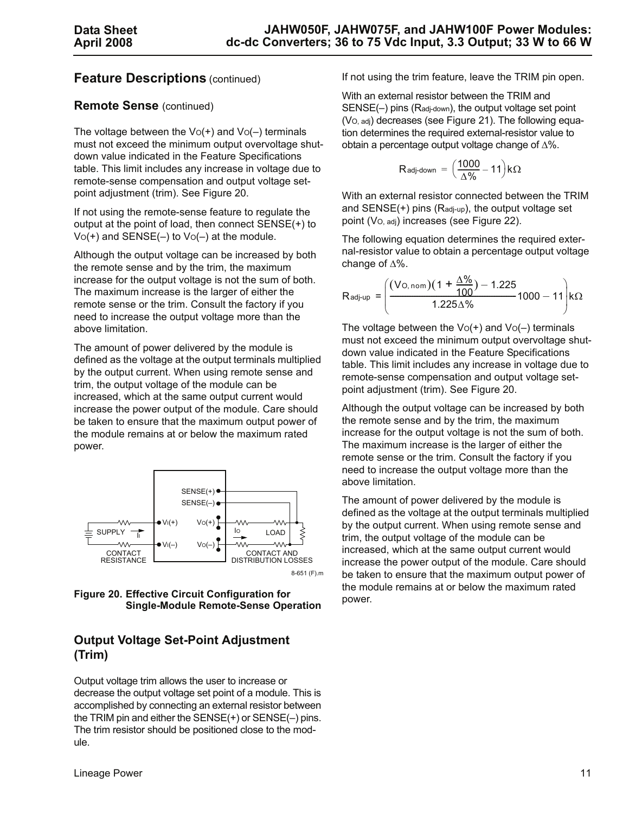#### **Feature Descriptions** (continued)

#### **Remote Sense** (continued)

The voltage between the  $Vo(+)$  and  $Vo(-)$  terminals must not exceed the minimum output overvoltage shutdown value indicated in the Feature Specifications table. This limit includes any increase in voltage due to remote-sense compensation and output voltage setpoint adjustment (trim). See Figure [20.](#page-10-0)

If not using the remote-sense feature to regulate the output at the point of load, then connect SENSE(+) to  $Vo(+)$  and  $SENSE(-)$  to  $Vo(-)$  at the module.

Although the output voltage can be increased by both the remote sense and by the trim, the maximum increase for the output voltage is not the sum of both. The maximum increase is the larger of either the remote sense or the trim. Consult the factory if you need to increase the output voltage more than the above limitation.

The amount of power delivered by the module is defined as the voltage at the output terminals multiplied by the output current. When using remote sense and trim, the output voltage of the module can be increased, which at the same output current would increase the power output of the module. Care should be taken to ensure that the maximum output power of the module remains at or below the maximum rated power.



<span id="page-10-0"></span>**Figure 20. Effective Circuit Configuration for Single-Module Remote-Sense Operation**

## **Output Voltage Set-Point Adjustment (Trim)**

Output voltage trim allows the user to increase or decrease the output voltage set point of a module. This is accomplished by connecting an external resistor between the TRIM pin and either the SENSE(+) or SENSE(–) pins. The trim resistor should be positioned close to the module.

If not using the trim feature, leave the TRIM pin open.

With an external resistor between the TRIM and SENSE(–) pins (Radj-down), the output voltage set point (VO, adj) decreases (see Figure [21\)](#page-11-0). The following equation determines the required external-resistor value to obtain a percentage output voltage change of Δ%.

$$
R_{\text{adj-down}} = \left(\frac{1000}{\Delta\%} - 11\right)k\Omega
$$

With an external resistor connected between the TRIM and  $SENSE(+)$  pins ( $Ra_{d-up}$ ), the output voltage set point (VO, adj) increases (see Figure [22](#page-11-1)).

The following equation determines the required external-resistor value to obtain a percentage output voltage change of Δ%.

$$
R_{\text{adj-up}} = \left(\frac{(V_{\text{O},\text{nom}})(1 + \frac{\Delta\%}{100}) - 1.225}{1.225\Delta\%} \cdot 1000 - 11\right) k\Omega
$$

The voltage between the  $Vo(+)$  and  $Vo(-)$  terminals must not exceed the minimum output overvoltage shutdown value indicated in the Feature Specifications table. This limit includes any increase in voltage due to remote-sense compensation and output voltage setpoint adjustment (trim). See Figure [20.](#page-10-0)

Although the output voltage can be increased by both the remote sense and by the trim, the maximum increase for the output voltage is not the sum of both. The maximum increase is the larger of either the remote sense or the trim. Consult the factory if you need to increase the output voltage more than the above limitation.

The amount of power delivered by the module is defined as the voltage at the output terminals multiplied by the output current. When using remote sense and trim, the output voltage of the module can be increased, which at the same output current would increase the power output of the module. Care should be taken to ensure that the maximum output power of the module remains at or below the maximum rated power.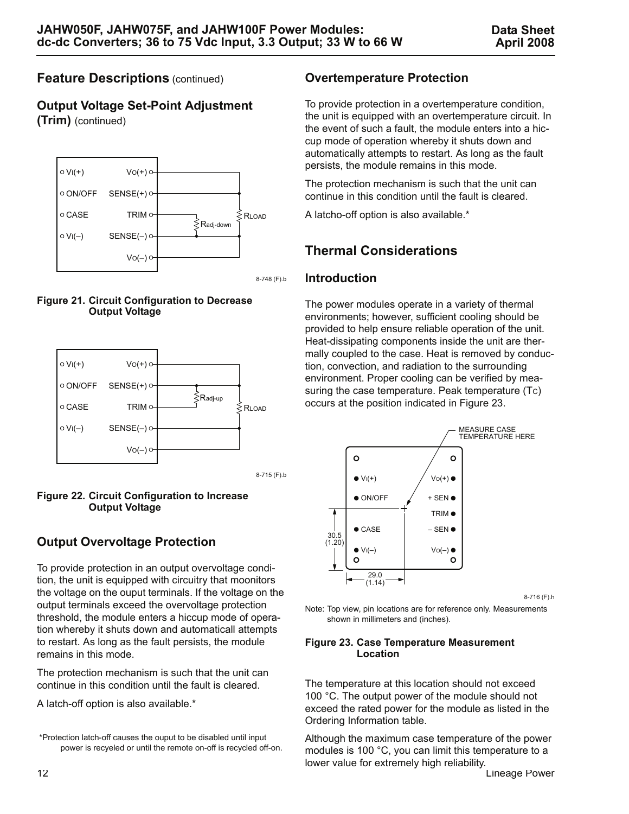## **Feature Descriptions** (continued)

**Output Voltage Set-Point Adjustment (Trim)** (continued)



8-748 (F).b

<span id="page-11-0"></span>



<span id="page-11-1"></span>

# **Output Overvoltage Protection**

To provide protection in an output overvoltage condition, the unit is equipped with circuitry that moonitors the voltage on the ouput terminals. If the voltage on the output terminals exceed the overvoltage protection threshold, the module enters a hiccup mode of operation whereby it shuts down and automaticall attempts to restart. As long as the fault persists, the module remains in this mode.

The protection mechanism is such that the unit can continue in this condition until the fault is cleared.

A latch-off option is also available.\*

### **Overtemperature Protection**

To provide protection in a overtemperature condition, the unit is equipped with an overtemperature circuit. In the event of such a fault, the module enters into a hiccup mode of operation whereby it shuts down and automatically attempts to restart. As long as the fault persists, the module remains in this mode.

The protection mechanism is such that the unit can continue in this condition until the fault is cleared.

A latcho-off option is also available.\*

# **Thermal Considerations**

#### **Introduction**

The power modules operate in a variety of thermal environments; however, sufficient cooling should be provided to help ensure reliable operation of the unit. Heat-dissipating components inside the unit are thermally coupled to the case. Heat is removed by conduction, convection, and radiation to the surrounding environment. Proper cooling can be verified by measuring the case temperature. Peak temperature (Tc) occurs at the position indicated in Figure [23.](#page-11-2)



8-716 (F).h

Note: Top view, pin locations are for reference only. Measurements shown in millimeters and (inches).

#### <span id="page-11-2"></span>**Figure 23. Case Temperature Measurement Location**

The temperature at this location should not exceed 100 °C. The output power of the module should not exceed the rated power for the module as listed in the Ordering Information table.

Although the maximum case temperature of the power modules is 100 °C, you can limit this temperature to a lower value for extremely high reliability.

 <sup>\*</sup>Protection latch-off causes the ouput to be disabled until input power is recyeled or until the remote on-off is recycled off-on.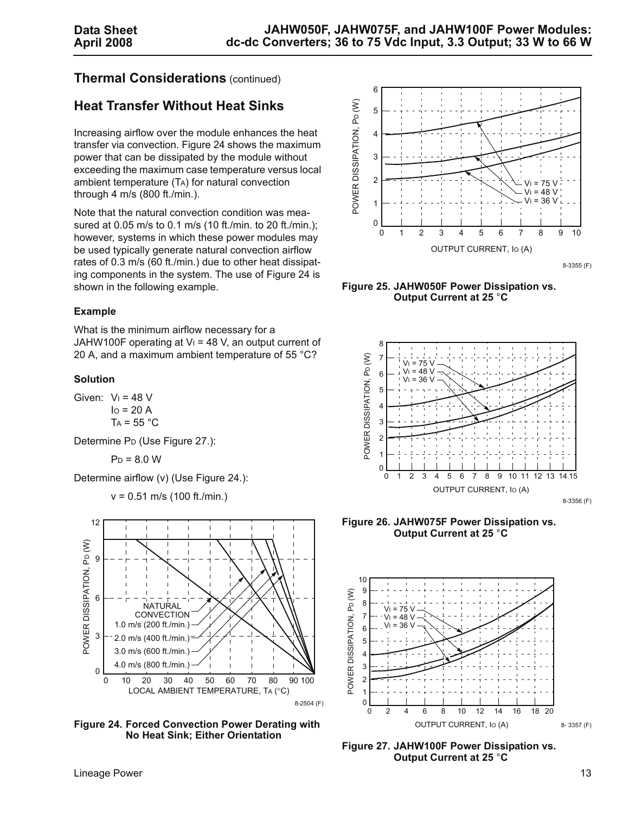### **Thermal Considerations** (continued)

# **Heat Transfer Without Heat Sinks**

Increasing airflow over the module enhances the heat transfer via convection. Figure [24](#page-12-0) shows the maximum power that can be dissipated by the module without exceeding the maximum case temperature versus local ambient temperature (TA) for natural convection through 4 m/s (800 ft./min.).

Note that the natural convection condition was measured at 0.05 m/s to 0.1 m/s (10 ft./min. to 20 ft./min.); however, systems in which these power modules may be used typically generate natural convection airflow rates of 0.3 m/s (60 ft./min.) due to other heat dissipating components in the system. The use of Figure [24](#page-12-0) is shown in the following example.

#### **Example**

What is the minimum airflow necessary for a JAHW100F operating at  $V_1$  = 48 V, an output current of 20 A, and a maximum ambient temperature of 55 °C?

#### **Solution**

Given:  $V_1 = 48$  V  $I<sub>O</sub>$  = 20 A  $TA = 55 °C$ 

Determine PD (Use Figure [27](#page-12-1).):

$$
P_D = 8.0 W
$$

Determine airflow (v) (Use Figure [24](#page-12-0).):

v = 0.51 m/s (100 ft./min.)



<span id="page-12-0"></span>**Figure 24. Forced Convection Power Derating with No Heat Sink; Either Orientation**



**Figure 25. JAHW050F Power Dissipation vs. Output Current at 25** °**C**



**Figure 26. JAHW075F Power Dissipation vs. Output Current at 25** °**C**



<span id="page-12-1"></span>**Figure 27. JAHW100F Power Dissipation vs. Output Current at 25** °**C**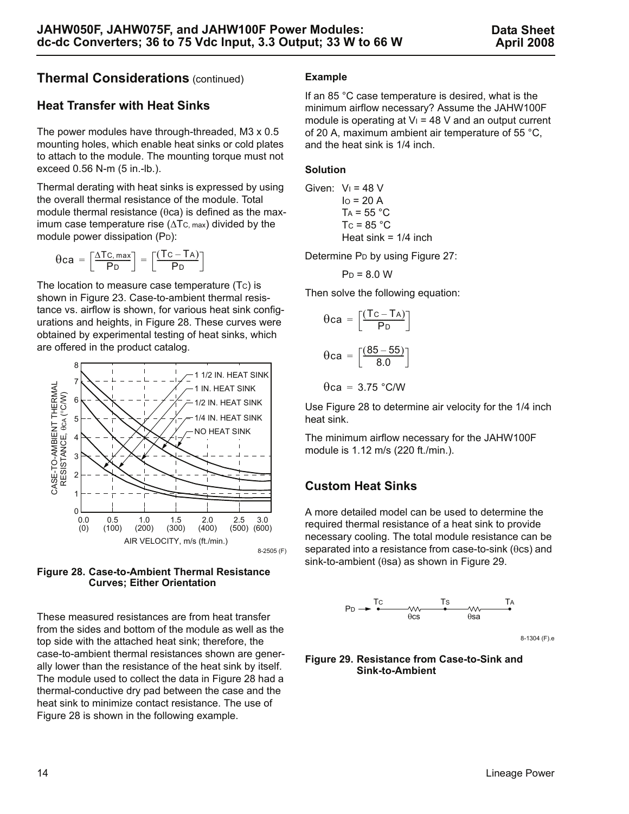## **Thermal Considerations** (continued)

### **Heat Transfer with Heat Sinks**

The power modules have through-threaded, M3 x 0.5 mounting holes, which enable heat sinks or cold plates to attach to the module. The mounting torque must not exceed 0.56 N-m (5 in.-lb.).

Thermal derating with heat sinks is expressed by using the overall thermal resistance of the module. Total module thermal resistance (θca) is defined as the maximum case temperature rise  $(\Delta T_c)_{max}$  divided by the module power dissipation (PD):

$$
\theta ca = \left[\frac{\Delta Tc, \text{max}}{P_D}\right] = \left[\frac{(Tc - T_A)}{P_D}\right]
$$

The location to measure case temperature (TC) is shown in Figure [23](#page-11-2). Case-to-ambient thermal resistance vs. airflow is shown, for various heat sink configurations and heights, in Figure [28](#page-13-0). These curves were obtained by experimental testing of heat sinks, which are offered in the product catalog.



<span id="page-13-0"></span>

These measured resistances are from heat transfer from the sides and bottom of the module as well as the top side with the attached heat sink; therefore, the case-to-ambient thermal resistances shown are generally lower than the resistance of the heat sink by itself. The module used to collect the data in Figure [28](#page-13-0) had a thermal-conductive dry pad between the case and the heat sink to minimize contact resistance. The use of Figure [28](#page-13-0) is shown in the following example.

#### **Example**

If an 85 °C case temperature is desired, what is the minimum airflow necessary? Assume the JAHW100F module is operating at  $V_1$  = 48 V and an output current of 20 A, maximum ambient air temperature of 55 °C, and the heat sink is 1/4 inch.

#### **Solution**

Given: 
$$
V_1 = 48
$$
 V  
\n $10 = 20$  A  
\n $T_A = 55$  °C  
\n $T_C = 85$  °C  
\nHeat sink = 1/4 inch

Determine P<sub>D</sub> by using Figure [27:](#page-12-1)

$$
P_D = 8.0 W
$$

Then solve the following equation:

$$
\theta ca = \left[\frac{(Tc - TA)}{PD}\right]
$$

$$
\theta ca = \left[\frac{(85 - 55)}{8.0}\right]
$$

$$
\theta ca = 3.75 \text{ °C/W}
$$

Use Figure [28](#page-13-0) to determine air velocity for the 1/4 inch heat sink.

The minimum airflow necessary for the JAHW100F module is 1.12 m/s (220 ft./min.).

### **Custom Heat Sinks**

A more detailed model can be used to determine the required thermal resistance of a heat sink to provide necessary cooling. The total module resistance can be separated into a resistance from case-to-sink (θcs) and sink-to-ambient (θsa) as shown in Figure [29](#page-13-1).



8-1304 (F).e

#### <span id="page-13-1"></span>**Figure 29. Resistance from Case-to-Sink and Sink-to-Ambient**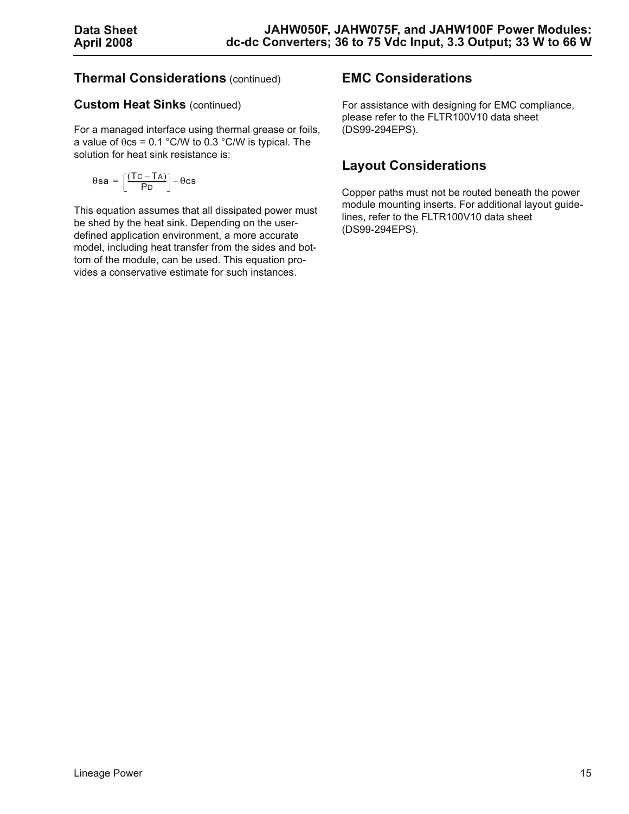# **Thermal Considerations** (continued)

#### **Custom Heat Sinks** (continued)

For a managed interface using thermal grease or foils, a value of  $\theta$ cs = 0.1 °C/W to 0.3 °C/W is typical. The solution for heat sink resistance is:

$$
\theta \text{sa} = \bigg[\!\frac{(Tc-Ta)}{P_D}\!\bigg]\!-\!\theta c s
$$

This equation assumes that all dissipated power must be shed by the heat sink. Depending on the userdefined application environment, a more accurate model, including heat transfer from the sides and bottom of the module, can be used. This equation provides a conservative estimate for such instances.

# **EMC Considerations**

For assistance with designing for EMC compliance, please refer to the FLTR100V10 data sheet (DS99-294EPS).

# **Layout Considerations**

Copper paths must not be routed beneath the power module mounting inserts. For additional layout guidelines, refer to the FLTR100V10 data sheet (DS99-294EPS).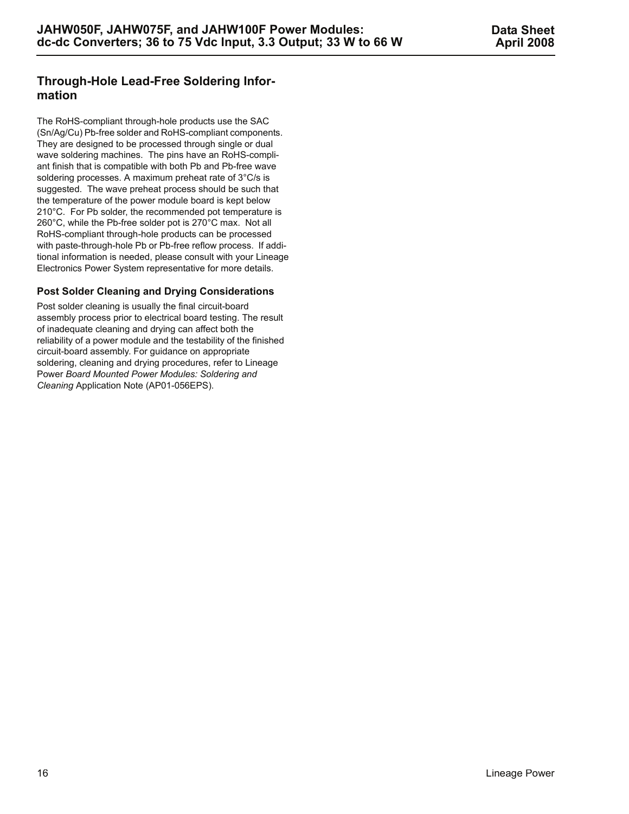### **Through-Hole Lead-Free Soldering Information**

The RoHS-compliant through-hole products use the SAC (Sn/Ag/Cu) Pb-free solder and RoHS-compliant components. They are designed to be processed through single or dual wave soldering machines. The pins have an RoHS-compliant finish that is compatible with both Pb and Pb-free wave soldering processes. A maximum preheat rate of 3°C/s is suggested. The wave preheat process should be such that the temperature of the power module board is kept below 210°C. For Pb solder, the recommended pot temperature is 260°C, while the Pb-free solder pot is 270°C max. Not all RoHS-compliant through-hole products can be processed with paste-through-hole Pb or Pb-free reflow process. If additional information is needed, please consult with your Lineage Electronics Power System representative for more details.

#### **Post Solder Cleaning and Drying Considerations**

Post solder cleaning is usually the final circuit-board assembly process prior to electrical board testing. The result of inadequate cleaning and drying can affect both the reliability of a power module and the testability of the finished circuit-board assembly. For guidance on appropriate soldering, cleaning and drying procedures, refer to Lineage Power *Board Mounted Power Modules: Soldering and Cleaning* Application Note (AP01-056EPS).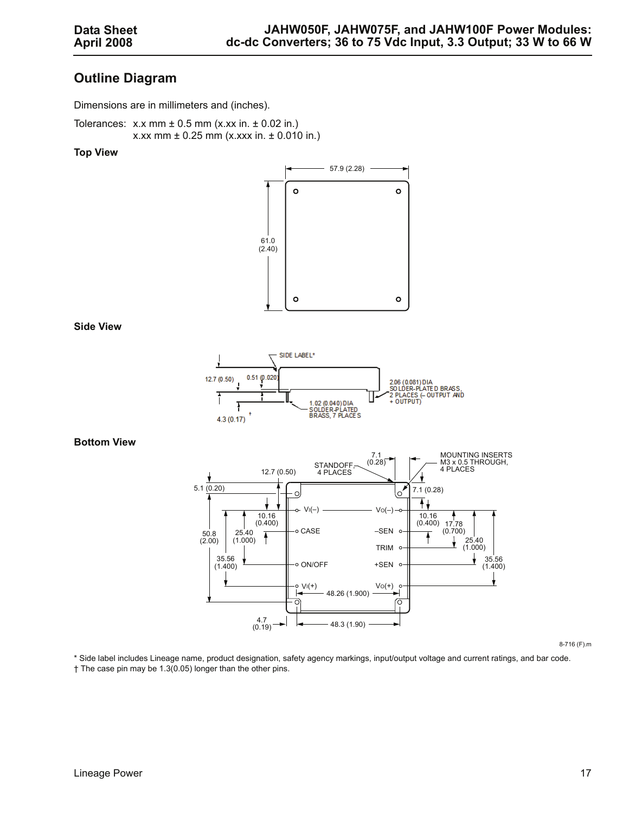### **Outline Diagram**

Dimensions are in millimeters and (inches).

Tolerances:  $x.x$  mm  $\pm$  0.5 mm (x.xx in.  $\pm$  0.02 in.) x.xx mm  $\pm$  0.25 mm (x.xxx in.  $\pm$  0.010 in.)

#### **Top View**



#### **Side View**



#### **Bottom View**



8-716 (F).m

\* Side label includes Lineage name, product designation, safety agency markings, input/output voltage and current ratings, and bar code. † The case pin may be 1.3(0.05) longer than the other pins.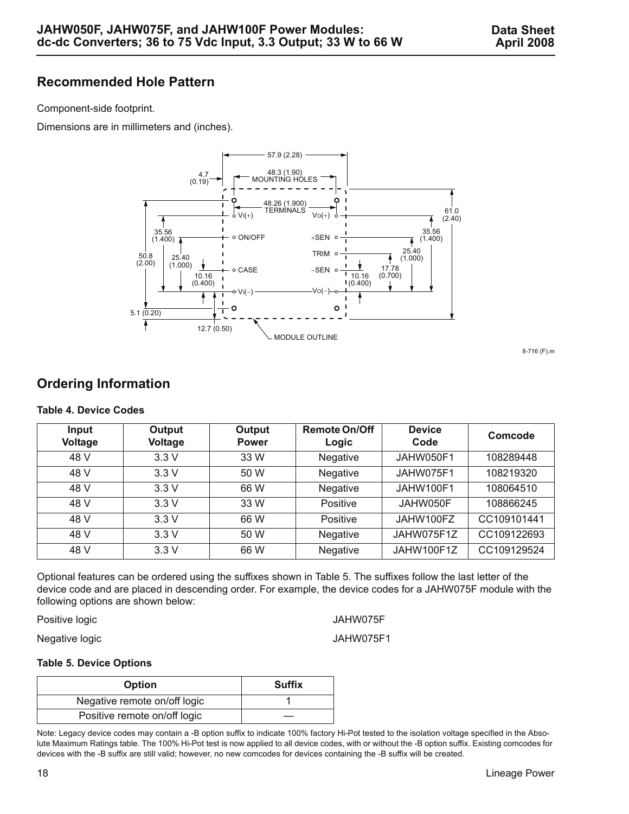### **Recommended Hole Pattern**

Component-side footprint.

Dimensions are in millimeters and (inches).



8-716 (F).m

# **Ordering Information**

#### **Table 4. Device Codes**

| Input<br>Voltage | Output<br>Voltage | Output<br><b>Power</b> | <b>Remote On/Off</b><br>Logic | <b>Device</b><br>Code | Comcode     |
|------------------|-------------------|------------------------|-------------------------------|-----------------------|-------------|
| 48 V             | 3.3V              | 33 W                   | Negative                      | JAHW050F1             | 108289448   |
| 48 V             | 3.3V              | 50 W                   | Negative                      | JAHW075F1             | 108219320   |
| 48 V             | 3.3V              | 66 W                   | <b>Negative</b>               | JAHW100F1             | 108064510   |
| 48 V             | 3.3V              | 33 W                   | Positive                      | JAHW050F              | 108866245   |
| 48 V             | 3.3V              | 66 W                   | Positive                      | JAHW100FZ             | CC109101441 |
| 48 V             | 3.3V              | 50 W                   | <b>Negative</b>               | JAHW075F1Z            | CC109122693 |
| 48 V             | 3.3V              | 66 W                   | Negative                      | JAHW100F1Z            | CC109129524 |

Optional features can be ordered using the suffixes shown in Table 5. The suffixes follow the last letter of the device code and are placed in descending order. For example, the device codes for a JAHW075F module with the following options are shown below:

Positive logic and the state of the SNS of the JAHW075F

Negative logic and the state of the UAHW075F1

#### **Table 5. Device Options**

| <b>Option</b>                | <b>Suffix</b> |
|------------------------------|---------------|
| Negative remote on/off logic |               |
| Positive remote on/off logic |               |

Note: Legacy device codes may contain a -B option suffix to indicate 100% factory Hi-Pot tested to the isolation voltage specified in the Absolute Maximum Ratings table. The 100% Hi-Pot test is now applied to all device codes, with or without the -B option suffix. Existing comcodes for devices with the -B suffix are still valid; however, no new comcodes for devices containing the -B suffix will be created.